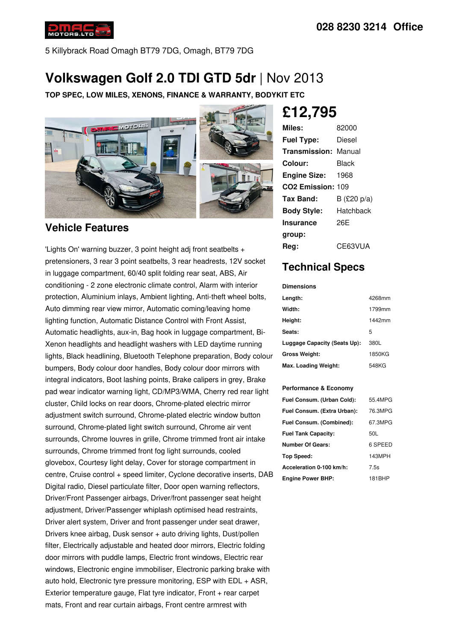

5 Killybrack Road Omagh BT79 7DG, Omagh, BT79 7DG

# **Volkswagen Golf 2.0 TDI GTD 5dr** | Nov 2013

**TOP SPEC, LOW MILES, XENONS, FINANCE & WARRANTY, BODYKIT ETC**



## **Vehicle Features**

'Lights On' warning buzzer, 3 point height adj front seatbelts + pretensioners, 3 rear 3 point seatbelts, 3 rear headrests, 12V socket in luggage compartment, 60/40 split folding rear seat, ABS, Air conditioning - 2 zone electronic climate control, Alarm with interior protection, Aluminium inlays, Ambient lighting, Anti-theft wheel bolts, Auto dimming rear view mirror, Automatic coming/leaving home lighting function, Automatic Distance Control with Front Assist, Automatic headlights, aux-in, Bag hook in luggage compartment, Bi- Xenon headlights and headlight washers with LED daytime running lights, Black headlining, Bluetooth Telephone preparation, Body colour bumpers, Body colour door handles, Body colour door mirrors with integral indicators, Boot lashing points, Brake calipers in grey, Brake pad wear indicator warning light, CD/MP3/WMA, Cherry red rear light cluster, Child locks on rear doors, Chrome-plated electric mirror adjustment switch surround, Chrome-plated electric window button surround, Chrome-plated light switch surround, Chrome air vent surrounds, Chrome louvres in grille, Chrome trimmed front air intake surrounds, Chrome trimmed front fog light surrounds, cooled glovebox, Courtesy light delay, Cover for storage compartment in centre, Cruise control + speed limiter, Cyclone decorative inserts, DAB Digital radio, Diesel particulate filter, Door open warning reflectors, Driver/Front Passenger airbags, Driver/front passenger seat height adjustment, Driver/Passenger whiplash optimised head restraints, Driver alert system, Driver and front passenger under seat drawer, Drivers knee airbag, Dusk sensor + auto driving lights, Dust/pollen filter, Electrically adjustable and heated door mirrors, Electric folding door mirrors with puddle lamps, Electric front windows, Electric rear windows, Electronic engine immobiliser, Electronic parking brake with auto hold, Electronic tyre pressure monitoring, ESP with EDL + ASR, Exterior temperature gauge, Flat tyre indicator, Front + rear carpet mats, Front and rear curtain airbags, Front centre armrest with

**£12,795**

| Miles:                        | 82000       |
|-------------------------------|-------------|
| <b>Fuel Type:</b>             | Diesel      |
| <b>Transmission: Manual</b>   |             |
| Colour:                       | Black       |
| <b>Engine Size:</b>           | 1968        |
| CO <sub>2</sub> Emission: 109 |             |
| Tax Band:                     | B (£20 p/a) |
| <b>Body Style:</b>            | Hatchback   |
| Insurance                     | 26F         |
| group:                        |             |
| Rea:                          | CE63VUA     |

## **Technical Specs**

**Dimensions**

| Length:                      | 4268mm |
|------------------------------|--------|
| Width:                       | 1799mm |
| Height:                      | 1442mm |
| Seats:                       | 5      |
| Luggage Capacity (Seats Up): | 380L   |
| <b>Gross Weight:</b>         | 1850KG |
| Max. Loading Weight:         | 548KG  |

#### **Performance & Economy**

| Fuel Consum. (Urban Cold):  | 55.4MPG |
|-----------------------------|---------|
| Fuel Consum. (Extra Urban): | 76.3MPG |
| Fuel Consum. (Combined):    | 67.3MPG |
| <b>Fuel Tank Capacity:</b>  | 50L     |
| <b>Number Of Gears:</b>     | 6 SPEED |
| Top Speed:                  | 143MPH  |
| Acceleration 0-100 km/h:    | 7.5s    |
| <b>Engine Power BHP:</b>    | 181BHP  |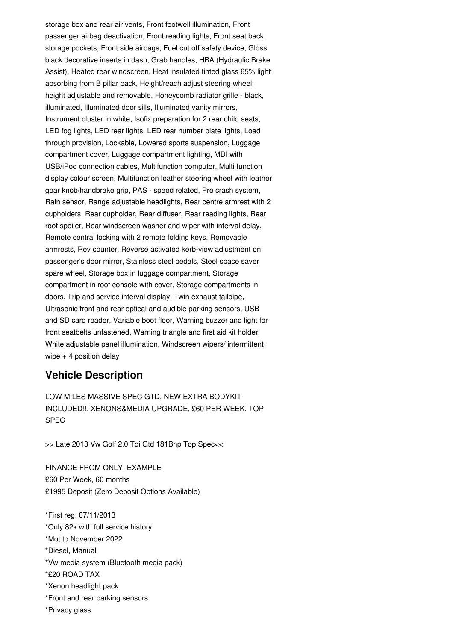storage box and rear air vents, Front footwell illumination, Front passenger airbag deactivation, Front reading lights, Front seat back storage pockets, Front side airbags, Fuel cut off safety device, Gloss black decorative inserts in dash, Grab handles, HBA (Hydraulic Brake Assist), Heated rear windscreen, Heat insulated tinted glass 65% light absorbing from B pillar back, Height/reach adjust steering wheel, height adjustable and removable, Honeycomb radiator grille - black, illuminated, Illuminated door sills, Illuminated vanity mirrors, Instrument cluster in white, Isofix preparation for 2 rear child seats, LED fog lights, LED rear lights, LED rear number plate lights, Load through provision, Lockable, Lowered sports suspension, Luggage compartment cover, Luggage compartment lighting, MDI with USB/iPod connection cables, Multifunction computer, Multi function display colour screen, Multifunction leather steering wheel with leather gear knob/handbrake grip, PAS - speed related, Pre crash system, Rain sensor, Range adjustable headlights, Rear centre armrest with 2 cupholders, Rear cupholder, Rear diffuser, Rear reading lights, Rear roof spoiler, Rear windscreen washer and wiper with interval delay, Remote central locking with 2 remote folding keys, Removable armrests, Rev counter, Reverse activated kerb-view adjustment on passenger's door mirror, Stainless steel pedals, Steel space saver spare wheel, Storage box in luggage compartment, Storage compartment in roof console with cover, Storage compartments in doors, Trip and service interval display, Twin exhaust tailpipe, Ultrasonic front and rear optical and audible parking sensors, USB and SD card reader, Variable boot floor, Warning buzzer and light for front seatbelts unfastened, Warning triangle and first aid kit holder, White adjustable panel illumination, Windscreen wipers/ intermittent wipe  $+4$  position delay

#### **Vehicle Description**

LOW MILES MASSIVE SPEC GTD, NEW EXTRA BODYKIT INCLUDED!!, XENONS&MEDIA UPGRADE, £60 PER WEEK, TOP SPEC

>> Late 2013 Vw Golf 2.0 Tdi Gtd 181Bhp Top Spec<<

FINANCE FROM ONLY: EXAMPLE £60 Per Week, 60 months £1995 Deposit (Zero Deposit Options Available)

\*First reg: 07/11/2013 \*Only 82k with full service history \*Mot to November 2022 \*Diesel, Manual \*Vw media system (Bluetooth media pack) \*£20 ROAD TAX \*Xenon headlight pack \*Front and rear parking sensors \*Privacy glass